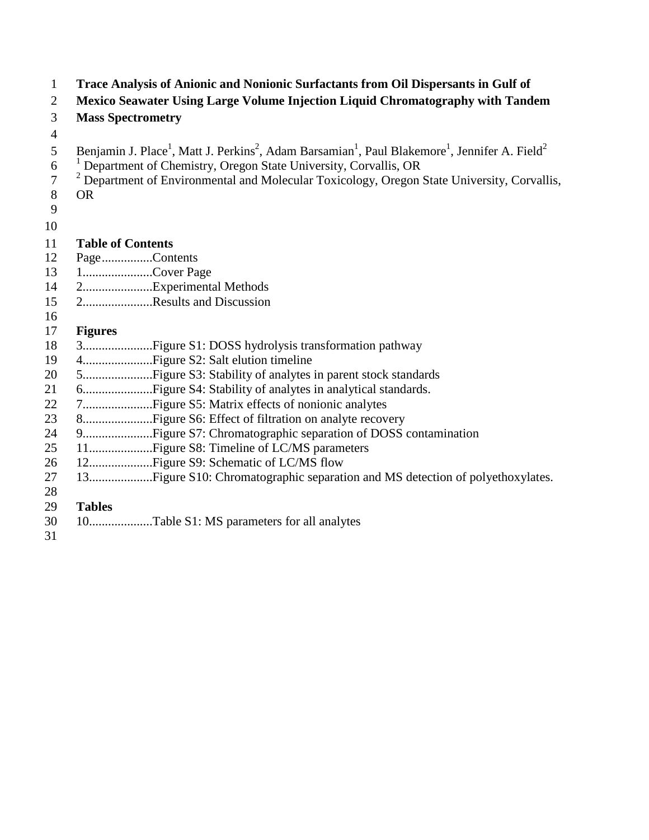- **Trace Analysis of Anionic and Nonionic Surfactants from Oil Dispersants in Gulf of Mexico Seawater Using Large Volume Injection Liquid Chromatography with Tandem Mass Spectrometry** 5 Benjamin J. Place<sup>1</sup>, Matt J. Perkins<sup>2</sup>, Adam Barsamian<sup>1</sup>, Paul Blakemore<sup>1</sup>, Jennifer A. Field<sup>2</sup>  $10^{-1}$  Department of Chemistry, Oregon State University, Corvallis, OR <sup>2</sup> Department of Environmental and Molecular Toxicology, Oregon State University, Corvallis, OR **Table of Contents** Page................Contents 1......................Cover Page 2......................Experimental Methods 2......................Results and Discussion **Figures** 3......................Figure S1: DOSS hydrolysis transformation pathway 4......................Figure S2: Salt elution timeline 5......................Figure S3: Stability of analytes in parent stock standards 6......................Figure S4: Stability of analytes in analytical standards. 7......................Figure S5: Matrix effects of nonionic analytes 8......................Figure S6: Effect of filtration on analyte recovery 9......................Figure S7: Chromatographic separation of DOSS contamination 11....................Figure S8: Timeline of LC/MS parameters 12....................Figure S9: Schematic of LC/MS flow 13....................Figure S10: Chromatographic separation and MS detection of polyethoxylates. **Tables** 10....................Table S1: MS parameters for all analytes
-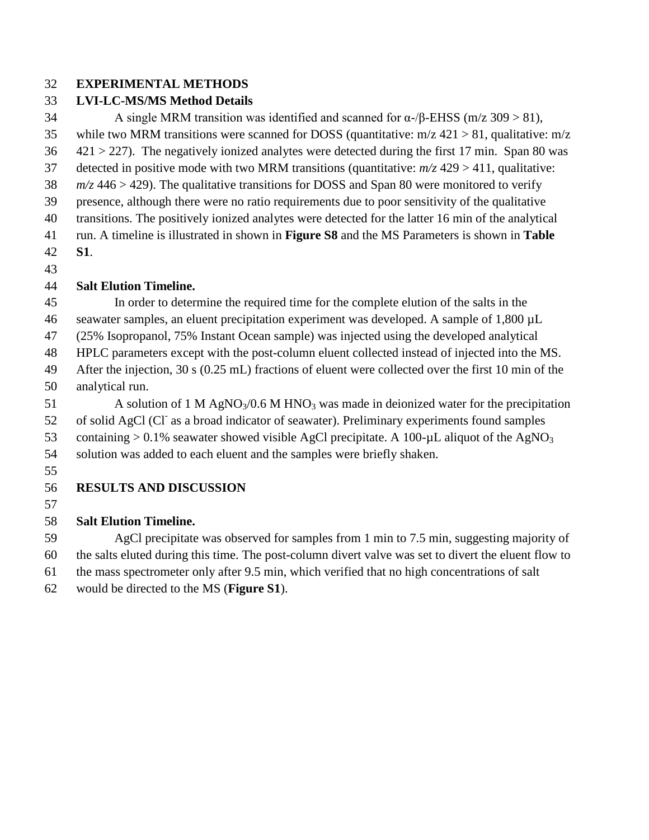#### **EXPERIMENTAL METHODS**

#### **LVI-LC-MS/MS Method Details**

34 A single MRM transition was identified and scanned for  $\alpha$ -/β-EHSS (m/z 309 > 81), 35 while two MRM transitions were scanned for DOSS (quantitative:  $m/z$  421 > 81, qualitative:  $m/z$  $36 \times 421 > 227$ ). The negatively ionized analytes were detected during the first 17 min. Span 80 was detected in positive mode with two MRM transitions (quantitative: *m/z* 429 > 411, qualitative: *m/z* 446 > 429). The qualitative transitions for DOSS and Span 80 were monitored to verify presence, although there were no ratio requirements due to poor sensitivity of the qualitative transitions. The positively ionized analytes were detected for the latter 16 min of the analytical run. A timeline is illustrated in shown in **Figure S8** and the MS Parameters is shown in **Table S1**.

## **Salt Elution Timeline.**

 In order to determine the required time for the complete elution of the salts in the seawater samples, an eluent precipitation experiment was developed. A sample of 1,800 µL (25% Isopropanol, 75% Instant Ocean sample) was injected using the developed analytical HPLC parameters except with the post-column eluent collected instead of injected into the MS. After the injection, 30 s (0.25 mL) fractions of eluent were collected over the first 10 min of the analytical run.

51 A solution of 1 M AgNO<sub>3</sub>/0.6 M HNO<sub>3</sub> was made in deionized water for the precipitation 52 of solid AgCl (Cl<sup>-</sup> as a broad indicator of seawater). Preliminary experiments found samples 53 containing  $> 0.1\%$  seawater showed visible AgCl precipitate. A 100- $\mu$ L aliquot of the AgNO<sub>3</sub> solution was added to each eluent and the samples were briefly shaken.

## **RESULTS AND DISCUSSION**

## **Salt Elution Timeline.**

 AgCl precipitate was observed for samples from 1 min to 7.5 min, suggesting majority of the salts eluted during this time. The post-column divert valve was set to divert the eluent flow to the mass spectrometer only after 9.5 min, which verified that no high concentrations of salt

would be directed to the MS (**Figure S1**).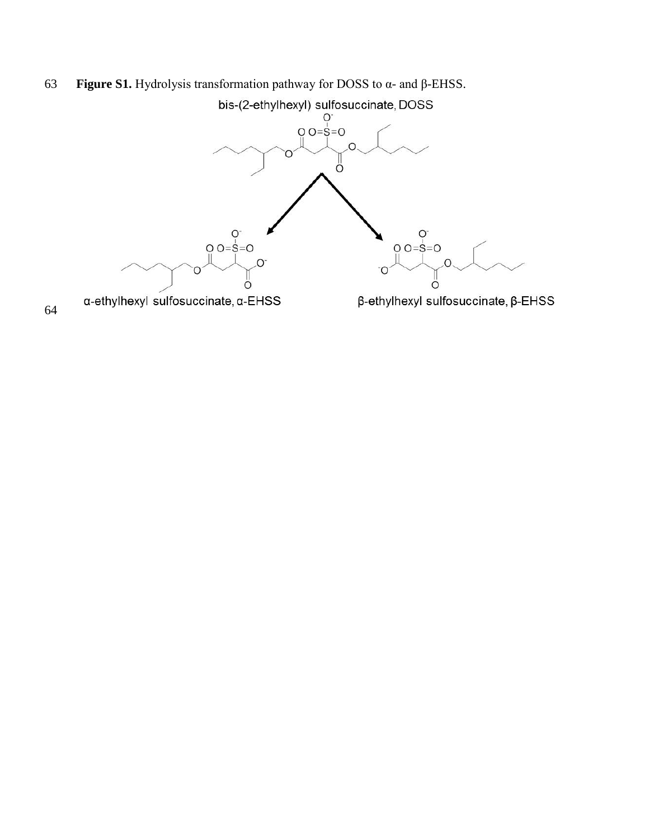# **Figure S1.** Hydrolysis transformation pathway for DOSS to α- and β-EHSS.

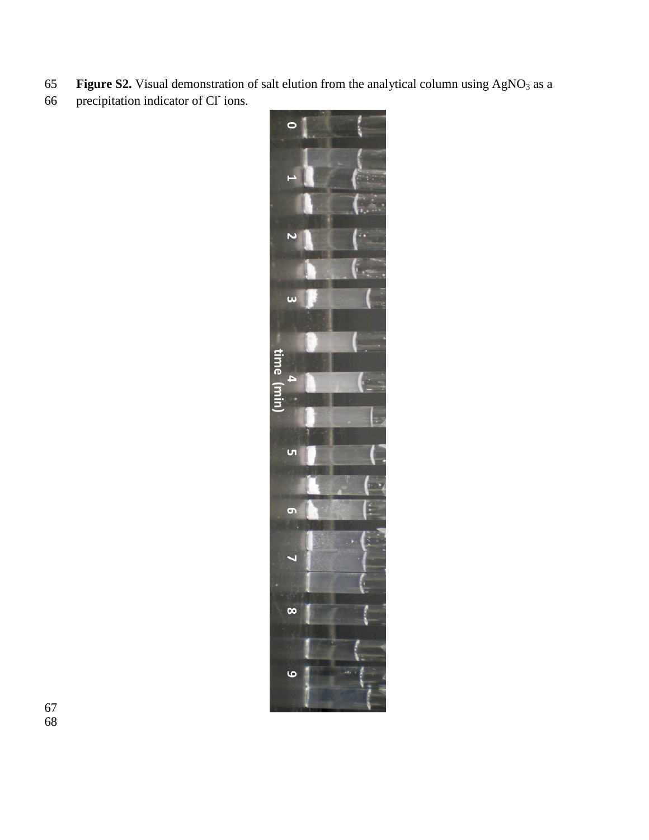- 65 **Figure S2.** Visual demonstration of salt elution from the analytical column using AgNO<sub>3</sub> as a
- 66 precipitation indicator of Cl<sup>-</sup> ions.

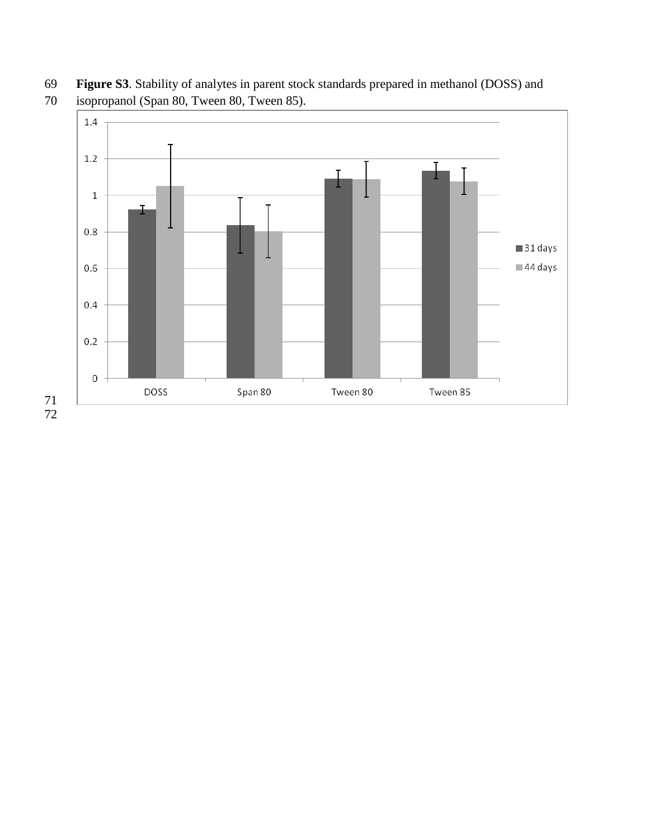**Figure S3**. Stability of analytes in parent stock standards prepared in methanol (DOSS) and



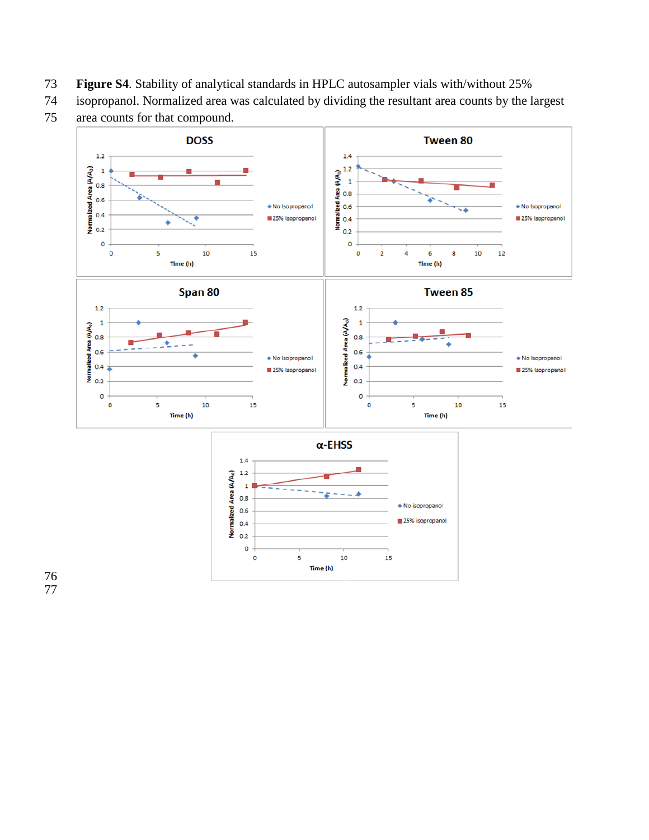- **Figure S4**. Stability of analytical standards in HPLC autosampler vials with/without 25%
- isopropanol. Normalized area was calculated by dividing the resultant area counts by the largest
- area counts for that compound.

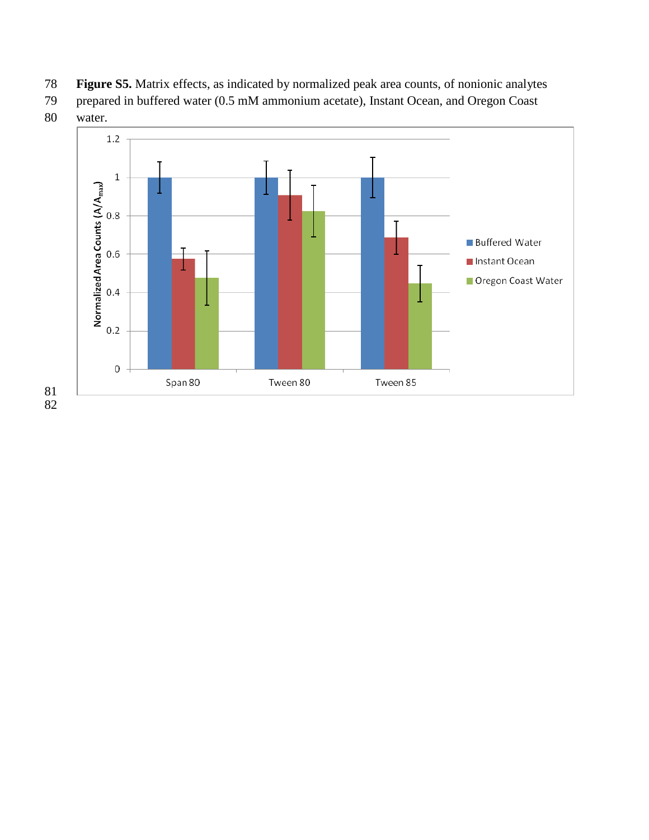- **Figure S5.** Matrix effects, as indicated by normalized peak area counts, of nonionic analytes
- prepared in buffered water (0.5 mM ammonium acetate), Instant Ocean, and Oregon Coast
- water.

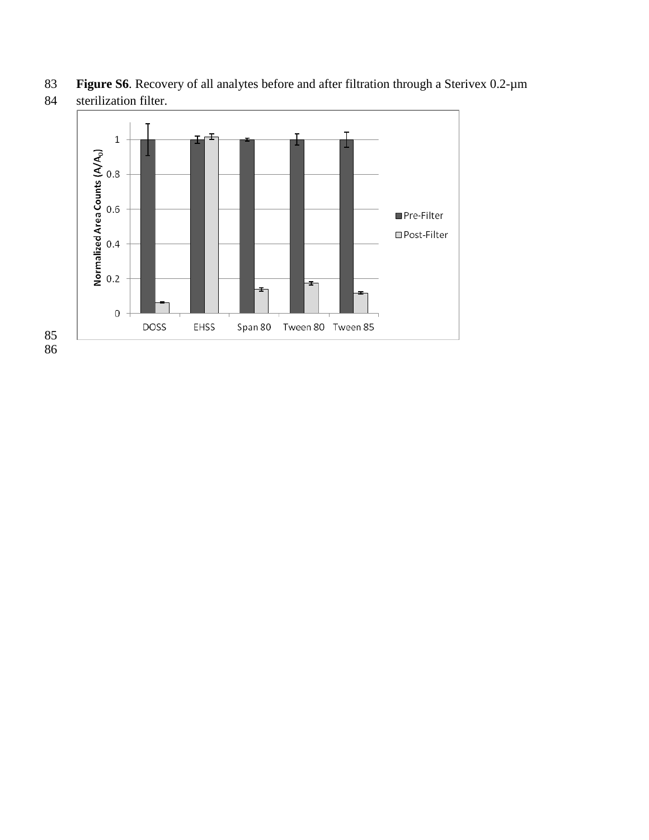**Figure S6**. Recovery of all analytes before and after filtration through a Sterivex 0.2-µm



sterilization filter.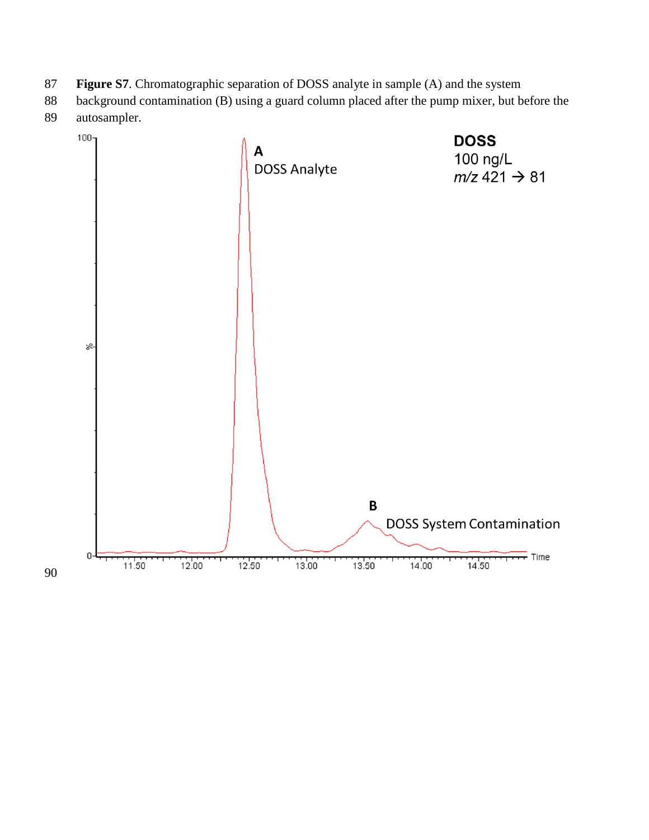- **Figure S7**. Chromatographic separation of DOSS analyte in sample (A) and the system
- background contamination (B) using a guard column placed after the pump mixer, but before the autosampler.

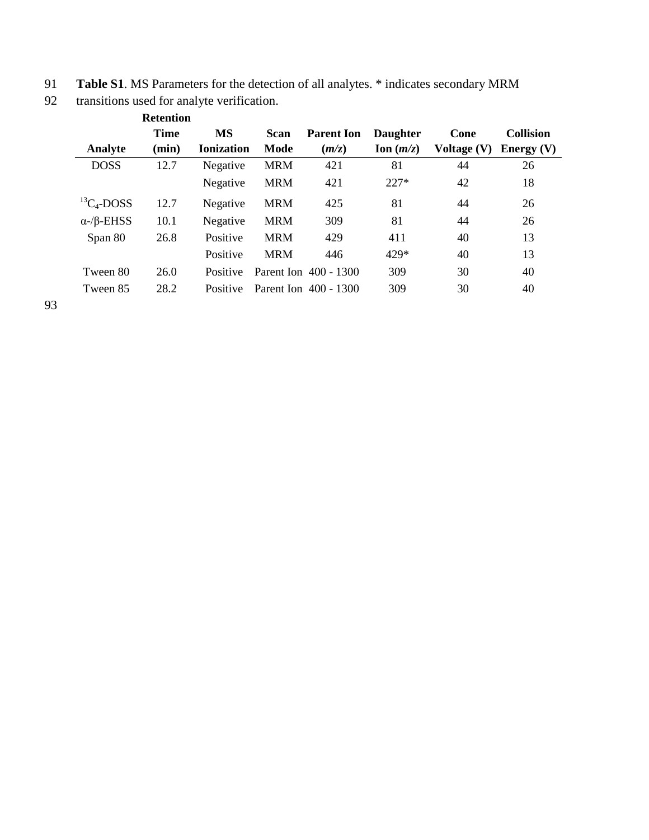| 91 | <b>Table S1.</b> MS Parameters for the detection of all analytes. * indicates secondary MRM |  |  |
|----|---------------------------------------------------------------------------------------------|--|--|
|    |                                                                                             |  |  |

| 92 |  |  |  | transitions used for analyte verification. |
|----|--|--|--|--------------------------------------------|
|----|--|--|--|--------------------------------------------|

|                           | <b>Retention</b> |                   |            |                       |                 |             |                  |
|---------------------------|------------------|-------------------|------------|-----------------------|-----------------|-------------|------------------|
|                           | <b>Time</b>      | <b>MS</b>         | Scan       | <b>Parent Ion</b>     | <b>Daughter</b> | Cone        | <b>Collision</b> |
| Analyte                   | (min)            | <b>Ionization</b> | Mode       | (m/z)                 | Ion $(m/z)$     | Voltage (V) | Energy $(V)$     |
| <b>DOSS</b>               | 12.7             | Negative          | <b>MRM</b> | 421                   | 81              | 44          | 26               |
|                           |                  | Negative          | <b>MRM</b> | 421                   | $227*$          | 42          | 18               |
| ${}^{13}C_4$ -DOSS        | 12.7             | Negative          | <b>MRM</b> | 425                   | 81              | 44          | 26               |
| $\alpha$ -/ $\beta$ -EHSS | 10.1             | Negative          | <b>MRM</b> | 309                   | 81              | 44          | 26               |
| Span 80                   | 26.8             | Positive          | <b>MRM</b> | 429                   | 411             | 40          | 13               |
|                           |                  | Positive          | <b>MRM</b> | 446                   | 429*            | 40          | 13               |
| Tween 80                  | 26.0             | Positive          |            | Parent Ion 400 - 1300 | 309             | 30          | 40               |
| Tween 85                  | 28.2             | Positive          |            | Parent Ion 400 - 1300 | 309             | 30          | 40               |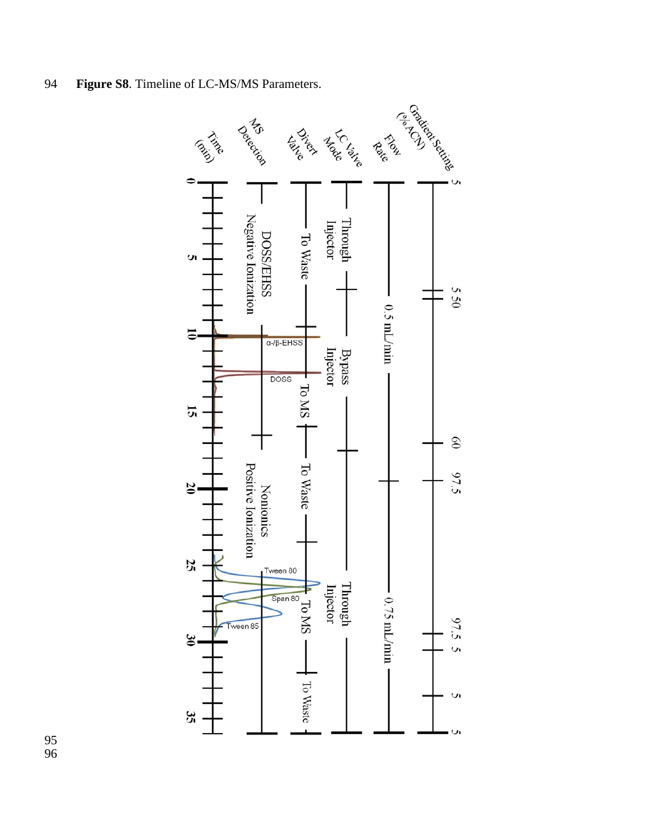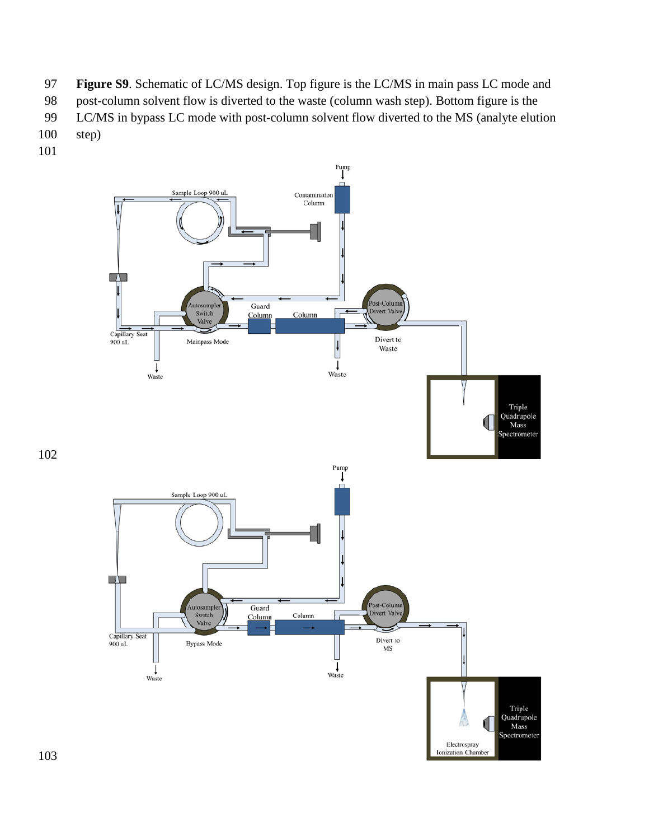- **Figure S9**. Schematic of LC/MS design. Top figure is the LC/MS in main pass LC mode and
- post-column solvent flow is diverted to the waste (column wash step). Bottom figure is the
- LC/MS in bypass LC mode with post-column solvent flow diverted to the MS (analyte elution
- step)
-